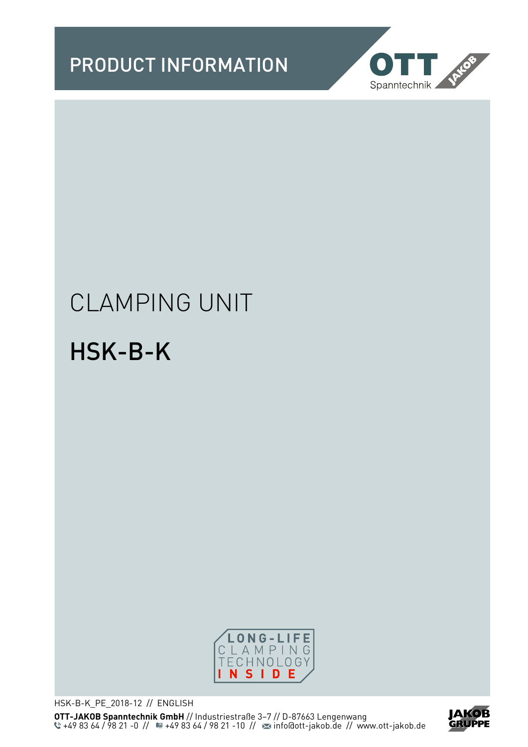PRODUCT INFORMATION



# CLAMPING UNIT

# HSK-B-K



HSK-B-K\_PE\_2018-12 // ENGLISH **OTT-JAKOB Spanntechnik GmbH** // Industriestraße 3–7 // D-87663 Lengenwang +49 83 64 / 98 21 -0 // <sup>11</sup> · 49 83 64 / 98 21 -10 // <sup>22</sup> info@ott-jakob.de // www.ott-jakob.de

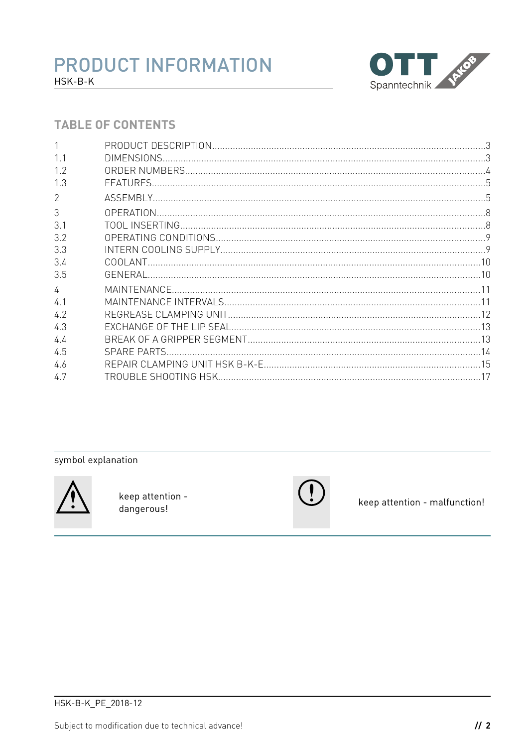

#### **TABLE OF CONTENTS**

|                | DIMENSIONS.  |  |
|----------------|--------------|--|
| 1.2            |              |  |
| 1.3            |              |  |
| $\overline{2}$ |              |  |
| 3              |              |  |
| 3.1            |              |  |
| 3.2            |              |  |
| 33             |              |  |
| 3.4            |              |  |
| 3.5            |              |  |
| $\sqrt{ }$     |              |  |
| 4 <sup>1</sup> |              |  |
| 4.2            |              |  |
| 4.3            |              |  |
| 44             |              |  |
| 4.5            | SPARE PARTS. |  |
| 4.6            |              |  |
| 4.7            |              |  |
|                |              |  |

#### symbol explanation



keep attention dangerous!



keep attention - malfunction!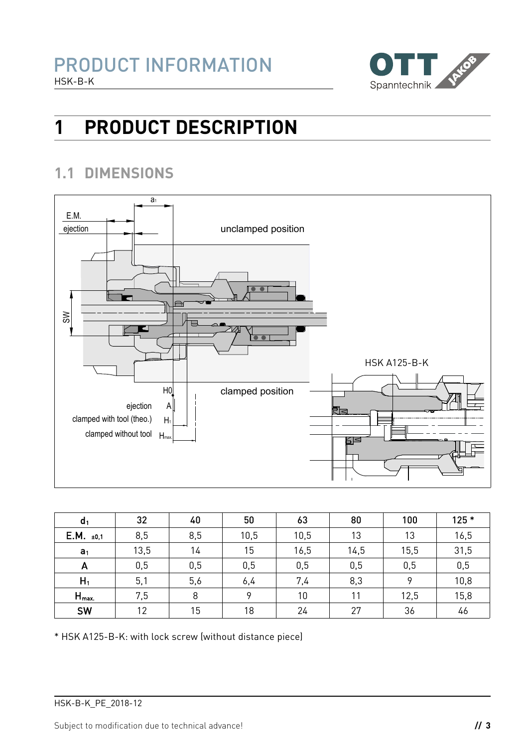

# **1 PRODUCT DESCRIPTION**

### **1.1 DIMENSIONS**



| d <sub>1</sub>   | 32   | 40  | 50   | 63   | 80   | 100  | $125*$ |
|------------------|------|-----|------|------|------|------|--------|
| $E.M.$ ±0,1      | 8,5  | 8,5 | 10,5 | 10,5 | 13   | 13   | 16,5   |
| a <sub>1</sub>   | 13,5 | 14  | 15   | 16,5 | 14,5 | 15,5 | 31,5   |
| A                | 0,5  | 0,5 | 0,5  | 0,5  | 0,5  | 0,5  | 0,5    |
| $H_1$            | 5,1  | 5,6 | 6,4  | 7,4  | 8,3  | 9    | 10,8   |
| $H_{\text{max}}$ | 7,5  | 8   | o    | 10   | 11   | 12,5 | 15,8   |
| SW               | 12   | 15  | 18   | 24   | 27   | 36   | 46     |

\* HSK A125-B-K: with lock screw (without distance piece)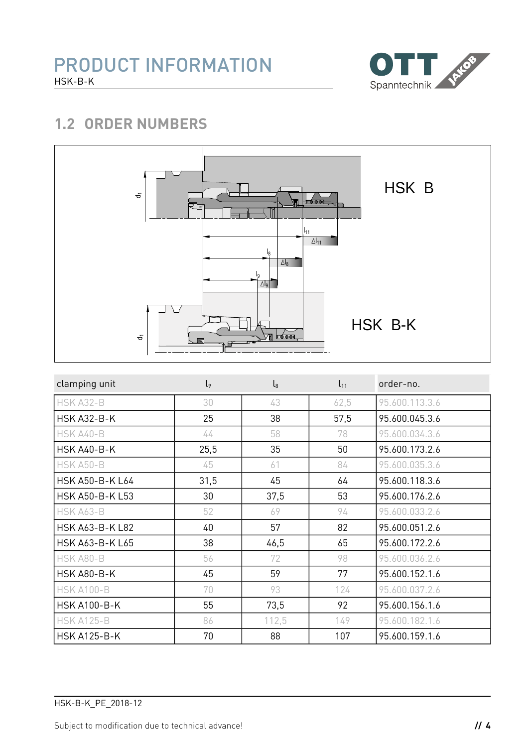

### **1.2 ORDER NUMBERS**



| clamping unit          | $\mathsf{I}_{9}$ | $\mathsf{l}_8$ | $l_{11}$ | order-no.      |
|------------------------|------------------|----------------|----------|----------------|
| HSK A32-B              | 30               | 43             | 62,5     | 95.600.113.3.6 |
| <b>HSK A32-B-K</b>     | 25               | 38             | 57,5     | 95.600.045.3.6 |
| HSK A40-B              | 44               | 58             | 78       | 95.600.034.3.6 |
| <b>HSK A40-B-K</b>     | 25,5             | 35             | 50       | 95.600.173.2.6 |
| HSK A50-B              | 45               | 61             | 84       | 95.600.035.3.6 |
| HSK A50-B-K L64        | 31,5             | 45             | 64       | 95.600.118.3.6 |
| HSK A50-B-K L53        | 30               | 37,5           | 53       | 95.600.176.2.6 |
| HSK A63-B              | 52               | 69             | 94       | 95.600.033.2.6 |
| <b>HSK A63-B-K L82</b> | 40               | 57             | 82       | 95.600.051.2.6 |
| <b>HSK A63-B-K L65</b> | 38               | 46,5           | 65       | 95.600.172.2.6 |
| HSK A80-B              | 56               | 72             | 98       | 95.600.036.2.6 |
| <b>HSK A80-B-K</b>     | 45               | 59             | 77       | 95.600.152.1.6 |
| <b>HSK A100-B</b>      | 70               | 93             | 124      | 95.600.037.2.6 |
| <b>HSK A100-B-K</b>    | 55               | 73,5           | 92       | 95.600.156.1.6 |
| <b>HSK A125-B</b>      | 86               | 112,5          | 149      | 95.600.182.1.6 |
| <b>HSK A125-B-K</b>    | 70               | 88             | 107      | 95.600.159.1.6 |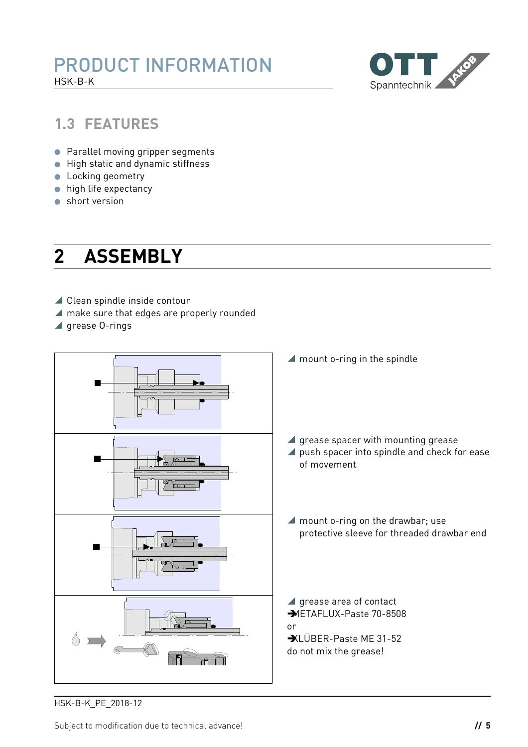

#### **1.3 FEATURES**

- **Parallel moving gripper segments**
- **•** High static and dynamic stiffness
- **Locking geometry**
- **•** high life expectancy
- short version

## <span id="page-4-0"></span>**2 ASSEMBLY**

- ▲ Clean spindle inside contour
- make sure that edges are properly rounded
- $\blacktriangle$  grease 0-rings



HSK-B-K\_PE\_2018-12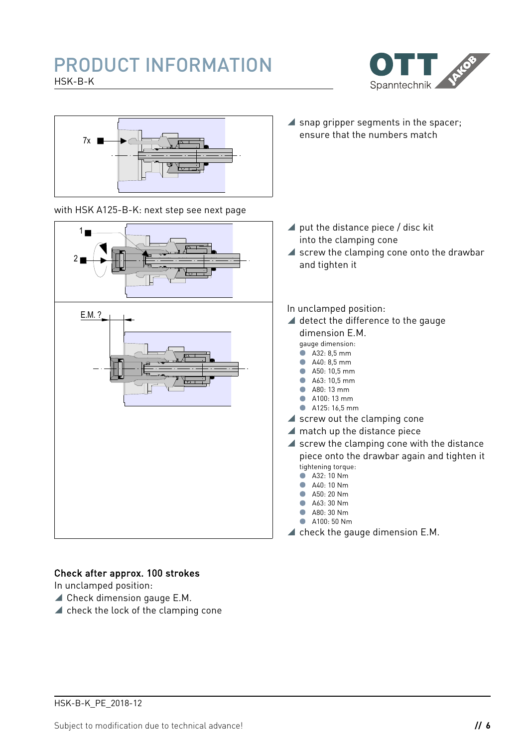### PRODUCT INFORMATION HSK-B-K





with HSK A125-B-K: next step see next page



 $\blacktriangle$  snap gripper segments in the spacer; ensure that the numbers match

- ▲ put the distance piece / disc kit into the clamping cone
- $\blacktriangle$  screw the clamping cone onto the drawbar and tighten it
- In unclamped position:
- ▲ detect the difference to the gauge dimension E.M.
	- gauge dimension:
	- A32: 8,5 mm
	- $A40.85$  mm ● A50: 10,5 mm
	- A63: 10,5 mm
	- **A80** 13 mm
	- A100: 13 mm
	- A125: 16,5 mm
- $\blacktriangle$  screw out the clamping cone
- ▲ match up the distance piece
- $\blacktriangle$  screw the clamping cone with the distance piece onto the drawbar again and tighten it tightening torque:
	- **A32: 10 Nm** A40: 10 Nm
	- A50: 20 Nm
	- A63: 30 Nm
	- **A80: 30 Nm**
	- **A100: 50 Nm**
- $\blacktriangle$  check the gauge dimension E.M.

#### Check after approx. 100 strokes

In unclamped position:

- Check dimension gauge E.M.
- $\blacktriangle$  check the lock of the clamping cone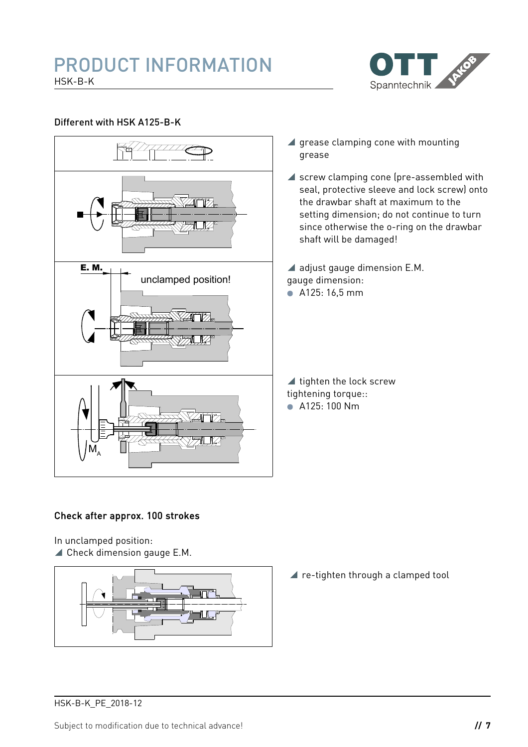#### PRODUCT INFORMATION HSK-B-K



#### Different with HSK A125-B-K



#### Check after approx. 100 strokes

In unclamped position:

▲ Check dimension gauge E.M.



▲ re-tighten through a clamped tool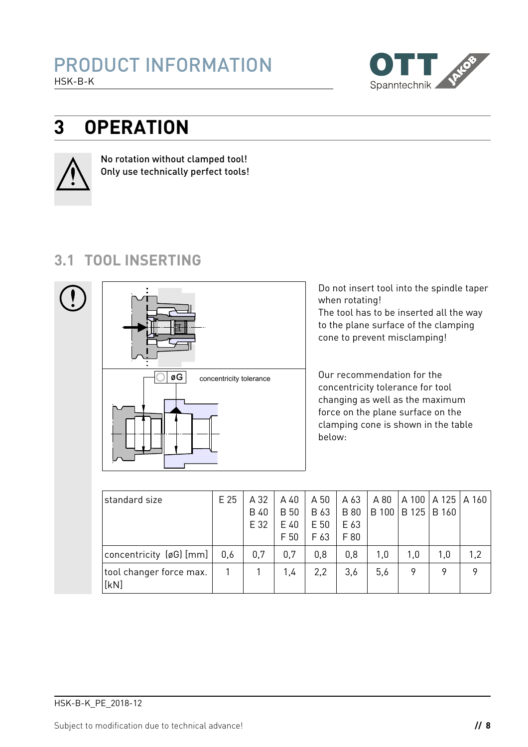

# **3 OPERATION**



No rotation without clamped tool! Only use technically perfect tools!

### **3.1 TOOL INSERTING**



Do not insert tool into the spindle taper when rotating! The tool has to be inserted all the way to the plane surface of the clamping cone to prevent misclamping!

Our recommendation for the concentricity tolerance for tool changing as well as the maximum force on the plane surface on the clamping cone is shown in the table below:

| standard size                   | E 25 | A 32        | A 40        | A 50 | A 63        | A 80 | A 100         | A125A160     |     |
|---------------------------------|------|-------------|-------------|------|-------------|------|---------------|--------------|-----|
|                                 |      | <b>B</b> 40 | <b>B</b> 50 | B 63 | <b>B</b> 80 |      | B 100   B 125 | <b>B</b> 160 |     |
|                                 |      | E 32        | E 40        | E 50 | E 63        |      |               |              |     |
|                                 |      |             | F 50        | F 63 | F 80        |      |               |              |     |
| concentricity (øG) [mm]         | 0,6  | 0,7         | 0,7         | 0,8  | 0,8         | 1,0  | 1,0           | 1,0          | 1,2 |
| tool changer force max.<br>[kN] |      |             | 1,4         | 2,2  | 3,6         | 5,6  | 9             | 9            | 9   |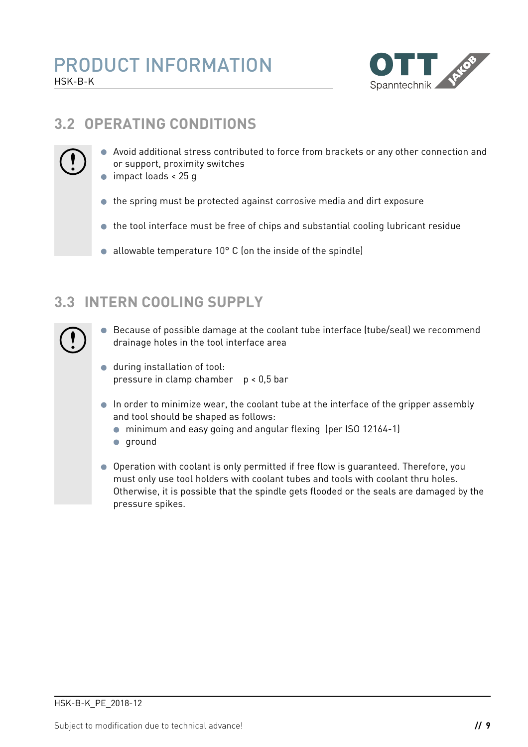

### **3.2 OPERATING CONDITIONS**



- Avoid additional stress contributed to force from brackets or any other connection and or support, proximity switches
- impact loads < 25 q
- the spring must be protected against corrosive media and dirt exposure
- the tool interface must be free of chips and substantial cooling lubricant residue
- allowable temperature  $10^{\circ}$  C (on the inside of the spindle)

### **3.3 INTERN COOLING SUPPLY**

- Because of possible damage at the coolant tube interface (tube/seal) we recommend drainage holes in the tool interface area
- during installation of tool: pressure in clamp chamber p < 0,5 bar
- In order to minimize wear, the coolant tube at the interface of the gripper assembly and tool should be shaped as follows:
	- minimum and easy going and angular flexing (per ISO 12164-1)
	- **qround**
- Operation with coolant is only permitted if free flow is guaranteed. Therefore, you must only use tool holders with coolant tubes and tools with coolant thru holes. Otherwise, it is possible that the spindle gets flooded or the seals are damaged by the pressure spikes.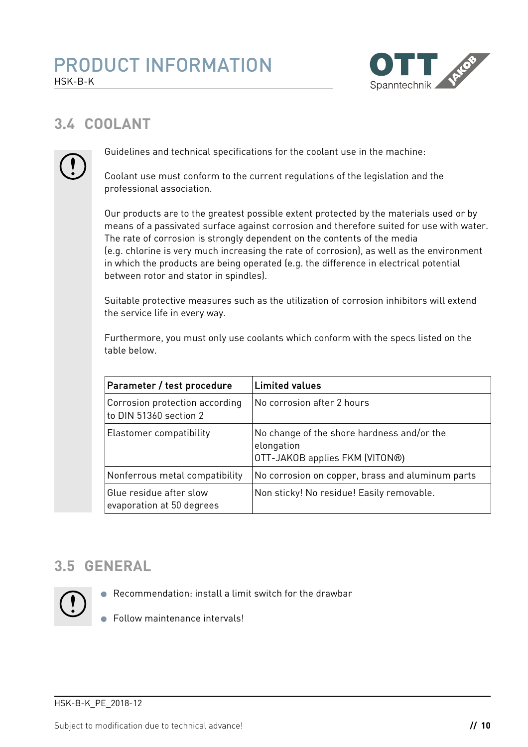

### **3.4 COOLANT**



Guidelines and technical specifications for the coolant use in the machine:

Coolant use must conform to the current regulations of the legislation and the professional association.

Our products are to the greatest possible extent protected by the materials used or by means of a passivated surface against corrosion and therefore suited for use with water. The rate of corrosion is strongly dependent on the contents of the media (e.g. chlorine is very much increasing the rate of corrosion), as well as the environment in which the products are being operated (e.g. the difference in electrical potential between rotor and stator in spindles).

Suitable protective measures such as the utilization of corrosion inhibitors will extend the service life in every way.

Furthermore, you must only use coolants which conform with the specs listed on the table below.

| Parameter / test procedure                               | <b>Limited values</b>                                                                      |
|----------------------------------------------------------|--------------------------------------------------------------------------------------------|
| Corrosion protection according<br>to DIN 51360 section 2 | No corrosion after 2 hours                                                                 |
| Elastomer compatibility                                  | No change of the shore hardness and/or the<br>elongation<br>OTT-JAKOB applies FKM (VITON®) |
| Nonferrous metal compatibility                           | No corrosion on copper, brass and aluminum parts                                           |
| Glue residue after slow<br>evaporation at 50 degrees     | Non sticky! No residue! Easily removable.                                                  |

### **3.5 GENERAL**



- Recommendation: install a limit switch for the drawbar
- Follow maintenance intervals!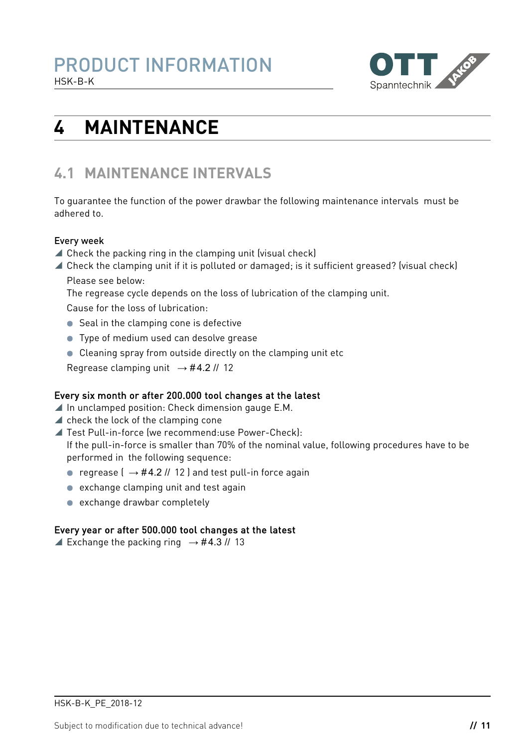

# **4 MAINTENANCE**

### **4.1 MAINTENANCE INTERVALS**

To guarantee the function of the power drawbar the following maintenance intervals must be adhered to.

#### Every week

- Check the packing ring in the clamping unit (visual check)
- Check the clamping unit if it is polluted or damaged; is it sufficient greased? (visual check) Please see below:

The regrease cycle depends on the loss of lubrication of the clamping unit.

Cause for the loss of lubrication:

- Seal in the clamping cone is defective
- **Type of medium used can desolve grease**
- Cleaning spray from outside directly on the clamping unit etc

Regrease clamping unit  $\rightarrow$  #[4.2](#page-11-0) // 12

#### Every six month or after 200.000 tool changes at the latest

- $\blacktriangle$  In unclamped position: Check dimension gauge E.M.
- $\blacktriangle$  check the lock of the clamping cone
- Test Pull-in-force (we recommend:use Power-Check): If the pull-in-force is smaller than 70% of the nominal value, following procedures have to be performed in the following sequence:
	- regrease  $( \rightarrow \#4.2 \# 12)$  $( \rightarrow \#4.2 \# 12)$  $( \rightarrow \#4.2 \# 12)$  $( \rightarrow \#4.2 \# 12)$  $( \rightarrow \#4.2 \# 12)$  and test pull-in force again
	- exchange clamping unit and test again
	- exchange drawbar completely

#### Every year or after 500.000 tool changes at the latest

Exchange the packing ring  $\rightarrow$  #[4.3](#page-12-0) // 13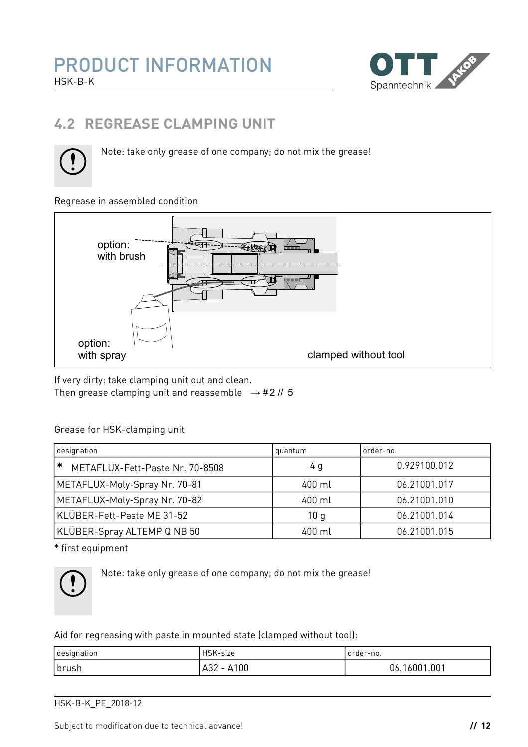

### <span id="page-11-0"></span>**4.2 REGREASE CLAMPING UNIT**



Note: take only grease of one company; do not mix the grease!

#### Regrease in assembled condition



If very dirty: take clamping unit out and clean. Then grease clamping unit and reassemble  $\rightarrow$  #[2](#page-4-0) // 5

#### Grease for HSK-clamping unit

| designation                               | quantum | order-no.    |  |
|-------------------------------------------|---------|--------------|--|
| $\ast$<br>METAFLUX-Fett-Paste Nr. 70-8508 | 4 g     | 0.929100.012 |  |
| METAFLUX-Moly-Spray Nr. 70-81             | 400 ml  | 06.21001.017 |  |
| METAFLUX-Moly-Spray Nr. 70-82             | 400 ml  | 06.21001.010 |  |
| KLÜBER-Fett-Paste ME 31-52                | 10q     | 06.21001.014 |  |
| KLÜBER-Spray ALTEMP Q NB 50               | 400 ml  | 06.21001.015 |  |

\* first equipment



Note: take only grease of one company; do not mix the grease!

Aid for regreasing with paste in mounted state (clamped without tool):

| I designation | HSK-size          | order-no.         |
|---------------|-------------------|-------------------|
| ∣brush        | 100،<br>A32<br>ΑI | 16001.001<br>U6.1 |

HSK-B-K\_PE\_2018-12

Subject to modification due to technical advance! **// 12**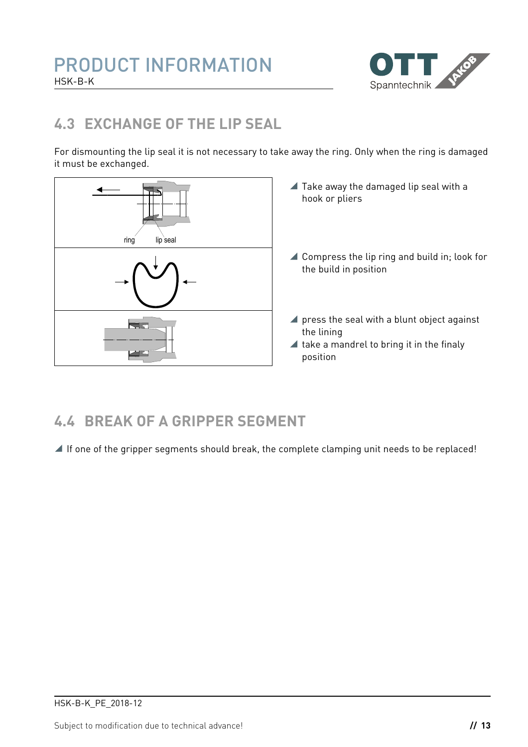

### <span id="page-12-0"></span>**4.3 EXCHANGE OF THE LIP SEAL**

For dismounting the lip seal it is not necessary to take away the ring. Only when the ring is damaged it must be exchanged.



- $\blacktriangle$  Take away the damaged lip seal with a hook or pliers
- ▲ Compress the lip ring and build in; look for the build in position
- **press the seal with a blunt object against** the lining
- $\blacktriangle$  take a mandrel to bring it in the finaly position

### **4.4 BREAK OF A GRIPPER SEGMENT**

If one of the gripper segments should break, the complete clamping unit needs to be replaced!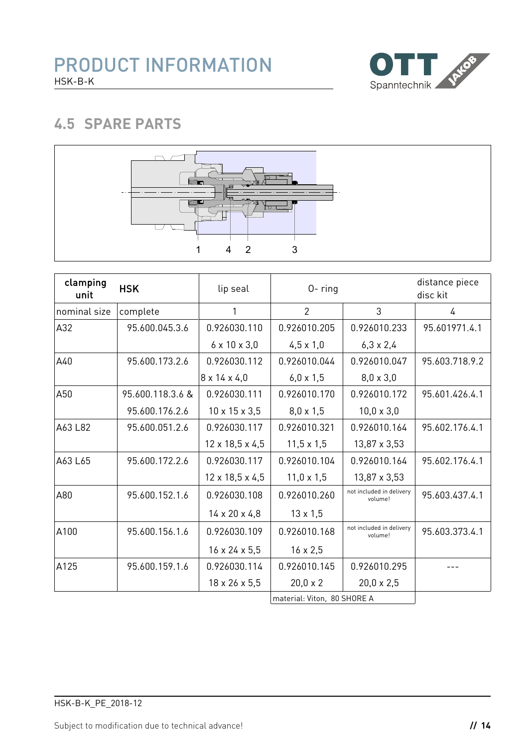

### **4.5 SPARE PARTS**



| clamping<br>unit | <b>HSK</b>       | lip seal                    | $0 - ring$                  |                                     | distance piece<br>disc kit |  |
|------------------|------------------|-----------------------------|-----------------------------|-------------------------------------|----------------------------|--|
| nominal size     | complete         | 1                           | $\overline{2}$              | 3                                   | 4                          |  |
| A32              | 95.600.045.3.6   | 0.926030.110                | 0.926010.205                | 0.926010.233                        | 95.601971.4.1              |  |
|                  |                  | $6 \times 10 \times 3,0$    | $4,5 \times 1,0$            | $6,3 \times 2,4$                    |                            |  |
| A40              | 95.600.173.2.6   | 0.926030.112                | 0.926010.044                | 0.926010.047                        | 95.603.718.9.2             |  |
|                  |                  | $8 \times 14 \times 4,0$    | $6,0 \times 1,5$            | $8,0 \times 3,0$                    |                            |  |
| A50              | 95.600.118.3.6 & | 0.926030.111                | 0.926010.170                | 0.926010.172                        | 95.601.426.4.1             |  |
|                  | 95.600.176.2.6   | $10 \times 15 \times 3,5$   | $8,0 \times 1,5$            | $10,0 \times 3,0$                   |                            |  |
| A63 L82          | 95.600.051.2.6   | 0.926030.117                | 0.926010.321                | 0.926010.164                        | 95.602.176.4.1             |  |
|                  |                  | $12 \times 18,5 \times 4,5$ | $11,5 \times 1,5$           | $13,87 \times 3,53$                 |                            |  |
| A63 L65          | 95.600.172.2.6   | 0.926030.117                | 0.926010.104                | 0.926010.164                        | 95.602.176.4.1             |  |
|                  |                  | $12 \times 18,5 \times 4,5$ | $11,0 \times 1,5$           | $13,87 \times 3,53$                 |                            |  |
| A80              | 95.600.152.1.6   | 0.926030.108                | 0.926010.260                | not included in delivery<br>volume! | 95.603.437.4.1             |  |
|                  |                  | $14 \times 20 \times 4,8$   | $13 \times 1,5$             |                                     |                            |  |
| A100             | 95.600.156.1.6   | 0.926030.109                | 0.926010.168                | not included in delivery<br>volume! | 95.603.373.4.1             |  |
|                  |                  | $16 \times 24 \times 5.5$   | $16 \times 2,5$             |                                     |                            |  |
| A125             | 95.600.159.1.6   | 0.926030.114                | 0.926010.145                | 0.926010.295                        |                            |  |
|                  |                  | $18 \times 26 \times 5,5$   | $20,0 \times 2$             | $20,0 \times 2,5$                   |                            |  |
|                  |                  |                             | material: Viton, 80 SHORE A |                                     |                            |  |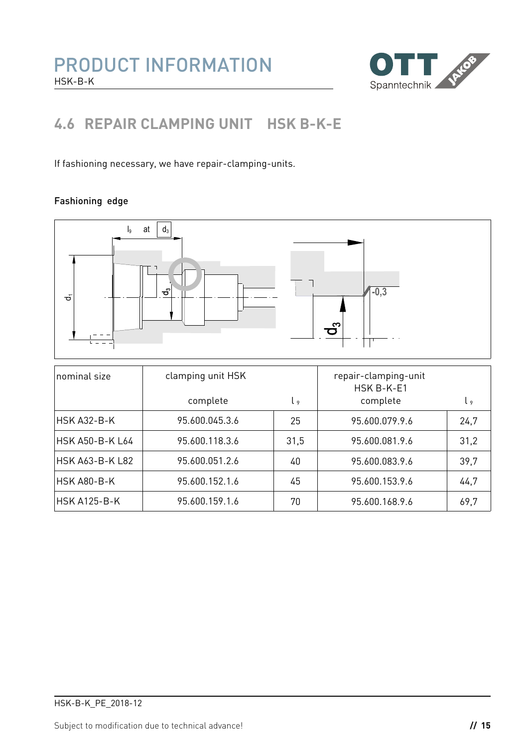

### **4.6 REPAIR CLAMPING UNIT HSK B-K-E**

If fashioning necessary, we have repair-clamping-units.

#### Fashioning edge

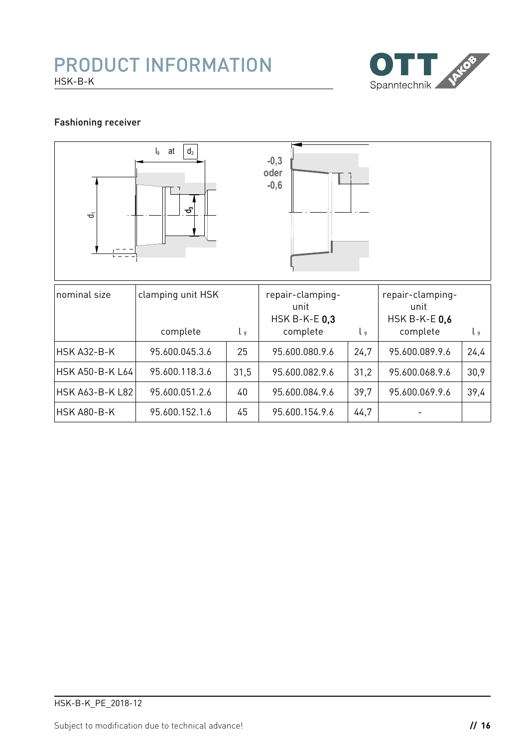#### PRODUCT INFORMATION HSK-B-K



#### Fashioning receiver